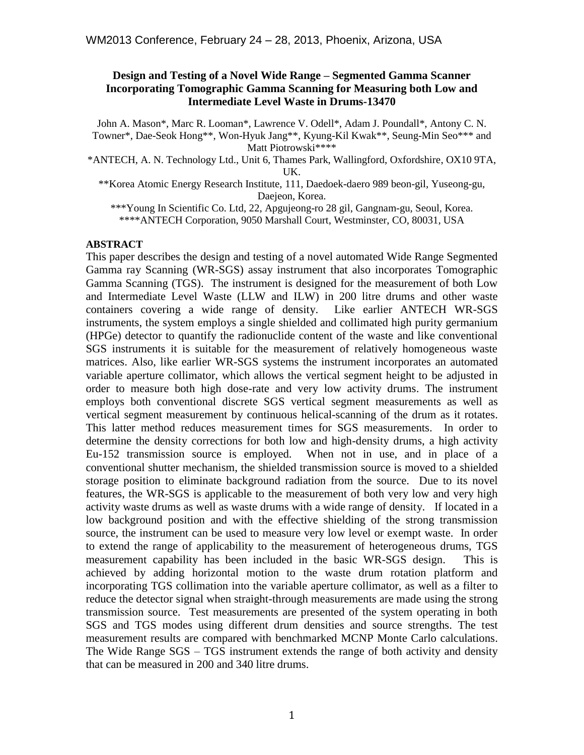#### **Design and Testing of a Novel Wide Range – Segmented Gamma Scanner Incorporating Tomographic Gamma Scanning for Measuring both Low and Intermediate Level Waste in Drums-13470**

John A. Mason\*, Marc R. Looman\*, Lawrence V. Odell\*, Adam J. Poundall\*, Antony C. N. Towner\*, Dae-Seok Hong\*\*, Won-Hyuk Jang\*\*, Kyung-Kil Kwak\*\*, Seung-Min Seo\*\*\* and Matt Piotrowski\*\*\*\*

\*ANTECH, A. N. Technology Ltd., Unit 6, Thames Park, Wallingford, Oxfordshire, OX10 9TA, UK.

\*\*Korea Atomic Energy Research Institute, 111, Daedoek-daero 989 beon-gil, Yuseong-gu, Daejeon, Korea.

\*\*\*Young In Scientific Co. Ltd, 22, Apgujeong-ro 28 gil, Gangnam-gu, Seoul, Korea. \*\*\*\*ANTECH Corporation, 9050 Marshall Court, Westminster, CO, 80031, USA

#### **ABSTRACT**

This paper describes the design and testing of a novel automated Wide Range Segmented Gamma ray Scanning (WR-SGS) assay instrument that also incorporates Tomographic Gamma Scanning (TGS). The instrument is designed for the measurement of both Low and Intermediate Level Waste (LLW and ILW) in 200 litre drums and other waste containers covering a wide range of density. Like earlier ANTECH WR-SGS instruments, the system employs a single shielded and collimated high purity germanium (HPGe) detector to quantify the radionuclide content of the waste and like conventional SGS instruments it is suitable for the measurement of relatively homogeneous waste matrices. Also, like earlier WR-SGS systems the instrument incorporates an automated variable aperture collimator, which allows the vertical segment height to be adjusted in order to measure both high dose-rate and very low activity drums. The instrument employs both conventional discrete SGS vertical segment measurements as well as vertical segment measurement by continuous helical-scanning of the drum as it rotates. This latter method reduces measurement times for SGS measurements. In order to determine the density corrections for both low and high-density drums, a high activity Eu-152 transmission source is employed. When not in use, and in place of a conventional shutter mechanism, the shielded transmission source is moved to a shielded storage position to eliminate background radiation from the source. Due to its novel features, the WR-SGS is applicable to the measurement of both very low and very high activity waste drums as well as waste drums with a wide range of density. If located in a low background position and with the effective shielding of the strong transmission source, the instrument can be used to measure very low level or exempt waste. In order to extend the range of applicability to the measurement of heterogeneous drums, TGS measurement capability has been included in the basic WR-SGS design. This is achieved by adding horizontal motion to the waste drum rotation platform and incorporating TGS collimation into the variable aperture collimator, as well as a filter to reduce the detector signal when straight-through measurements are made using the strong transmission source. Test measurements are presented of the system operating in both SGS and TGS modes using different drum densities and source strengths. The test measurement results are compared with benchmarked MCNP Monte Carlo calculations. The Wide Range SGS – TGS instrument extends the range of both activity and density that can be measured in 200 and 340 litre drums.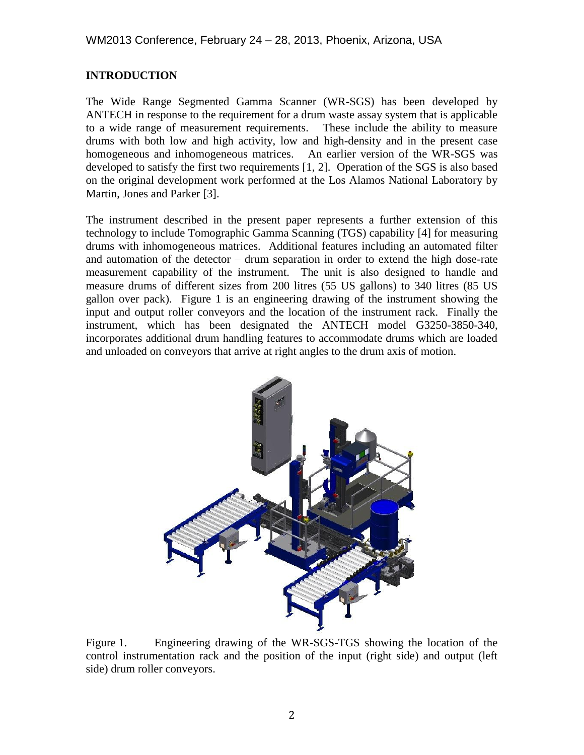# **INTRODUCTION**

The Wide Range Segmented Gamma Scanner (WR-SGS) has been developed by ANTECH in response to the requirement for a drum waste assay system that is applicable to a wide range of measurement requirements. These include the ability to measure drums with both low and high activity, low and high-density and in the present case homogeneous and inhomogeneous matrices. An earlier version of the WR-SGS was developed to satisfy the first two requirements [1, 2]. Operation of the SGS is also based on the original development work performed at the Los Alamos National Laboratory by Martin, Jones and Parker [3].

The instrument described in the present paper represents a further extension of this technology to include Tomographic Gamma Scanning (TGS) capability [4] for measuring drums with inhomogeneous matrices. Additional features including an automated filter and automation of the detector – drum separation in order to extend the high dose-rate measurement capability of the instrument. The unit is also designed to handle and measure drums of different sizes from 200 litres (55 US gallons) to 340 litres (85 US gallon over pack). Figure 1 is an engineering drawing of the instrument showing the input and output roller conveyors and the location of the instrument rack. Finally the instrument, which has been designated the ANTECH model G3250-3850-340, incorporates additional drum handling features to accommodate drums which are loaded and unloaded on conveyors that arrive at right angles to the drum axis of motion.



Figure 1. Engineering drawing of the WR-SGS-TGS showing the location of the control instrumentation rack and the position of the input (right side) and output (left side) drum roller conveyors.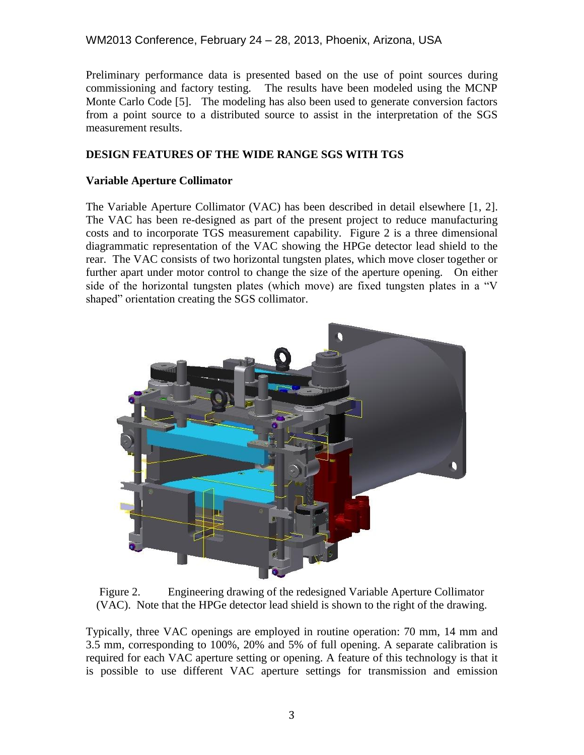# WM2013 Conference, February 24 – 28, 2013, Phoenix, Arizona, USA

Preliminary performance data is presented based on the use of point sources during commissioning and factory testing. The results have been modeled using the MCNP Monte Carlo Code [5]. The modeling has also been used to generate conversion factors from a point source to a distributed source to assist in the interpretation of the SGS measurement results.

### **DESIGN FEATURES OF THE WIDE RANGE SGS WITH TGS**

#### **Variable Aperture Collimator**

The Variable Aperture Collimator (VAC) has been described in detail elsewhere [1, 2]. The VAC has been re-designed as part of the present project to reduce manufacturing costs and to incorporate TGS measurement capability. Figure 2 is a three dimensional diagrammatic representation of the VAC showing the HPGe detector lead shield to the rear. The VAC consists of two horizontal tungsten plates, which move closer together or further apart under motor control to change the size of the aperture opening. On either side of the horizontal tungsten plates (which move) are fixed tungsten plates in a "V shaped" orientation creating the SGS collimator.



Figure 2. Engineering drawing of the redesigned Variable Aperture Collimator (VAC). Note that the HPGe detector lead shield is shown to the right of the drawing.

Typically, three VAC openings are employed in routine operation: 70 mm, 14 mm and 3.5 mm, corresponding to 100%, 20% and 5% of full opening. A separate calibration is required for each VAC aperture setting or opening. A feature of this technology is that it is possible to use different VAC aperture settings for transmission and emission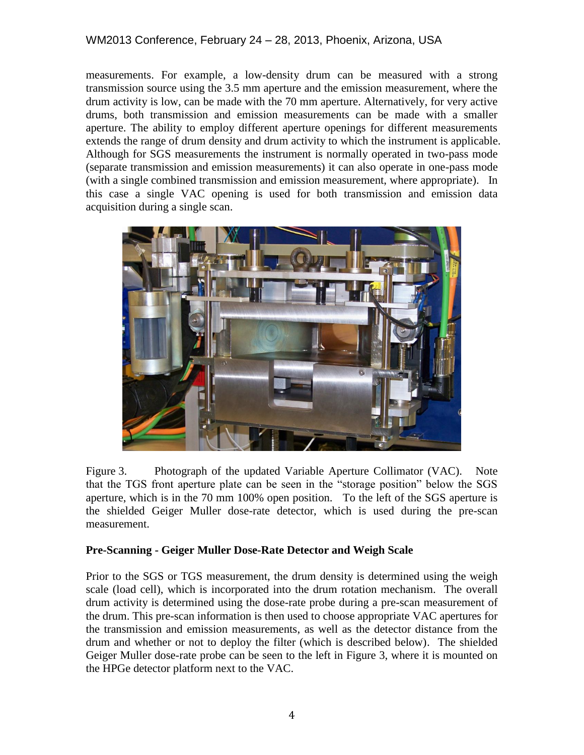measurements. For example, a low-density drum can be measured with a strong transmission source using the 3.5 mm aperture and the emission measurement, where the drum activity is low, can be made with the 70 mm aperture. Alternatively, for very active drums, both transmission and emission measurements can be made with a smaller aperture. The ability to employ different aperture openings for different measurements extends the range of drum density and drum activity to which the instrument is applicable. Although for SGS measurements the instrument is normally operated in two-pass mode (separate transmission and emission measurements) it can also operate in one-pass mode (with a single combined transmission and emission measurement, where appropriate). In this case a single VAC opening is used for both transmission and emission data acquisition during a single scan.



Figure 3. Photograph of the updated Variable Aperture Collimator (VAC). Note that the TGS front aperture plate can be seen in the "storage position" below the SGS aperture, which is in the 70 mm 100% open position. To the left of the SGS aperture is the shielded Geiger Muller dose-rate detector, which is used during the pre-scan measurement.

# **Pre-Scanning - Geiger Muller Dose-Rate Detector and Weigh Scale**

Prior to the SGS or TGS measurement, the drum density is determined using the weigh scale (load cell), which is incorporated into the drum rotation mechanism. The overall drum activity is determined using the dose-rate probe during a pre-scan measurement of the drum. This pre-scan information is then used to choose appropriate VAC apertures for the transmission and emission measurements, as well as the detector distance from the drum and whether or not to deploy the filter (which is described below). The shielded Geiger Muller dose-rate probe can be seen to the left in Figure 3, where it is mounted on the HPGe detector platform next to the VAC.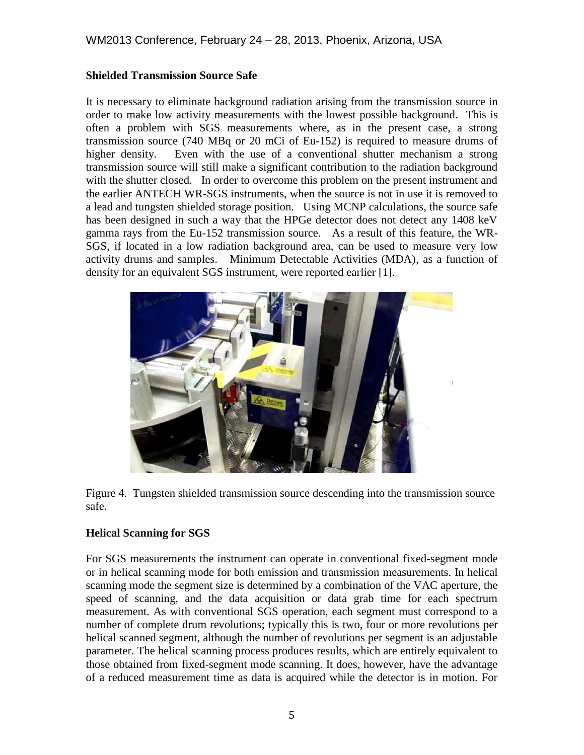### **Shielded Transmission Source Safe**

It is necessary to eliminate background radiation arising from the transmission source in order to make low activity measurements with the lowest possible background. This is often a problem with SGS measurements where, as in the present case, a strong transmission source (740 MBq or 20 mCi of Eu-152) is required to measure drums of higher density. Even with the use of a conventional shutter mechanism a strong transmission source will still make a significant contribution to the radiation background with the shutter closed. In order to overcome this problem on the present instrument and the earlier ANTECH WR-SGS instruments, when the source is not in use it is removed to a lead and tungsten shielded storage position. Using MCNP calculations, the source safe has been designed in such a way that the HPGe detector does not detect any 1408 keV gamma rays from the Eu-152 transmission source. As a result of this feature, the WR-SGS, if located in a low radiation background area, can be used to measure very low activity drums and samples. Minimum Detectable Activities (MDA), as a function of density for an equivalent SGS instrument, were reported earlier [1].



Figure 4. Tungsten shielded transmission source descending into the transmission source safe.

# **Helical Scanning for SGS**

For SGS measurements the instrument can operate in conventional fixed-segment mode or in helical scanning mode for both emission and transmission measurements. In helical scanning mode the segment size is determined by a combination of the VAC aperture, the speed of scanning, and the data acquisition or data grab time for each spectrum measurement. As with conventional SGS operation, each segment must correspond to a number of complete drum revolutions; typically this is two, four or more revolutions per helical scanned segment, although the number of revolutions per segment is an adjustable parameter. The helical scanning process produces results, which are entirely equivalent to those obtained from fixed-segment mode scanning. It does, however, have the advantage of a reduced measurement time as data is acquired while the detector is in motion. For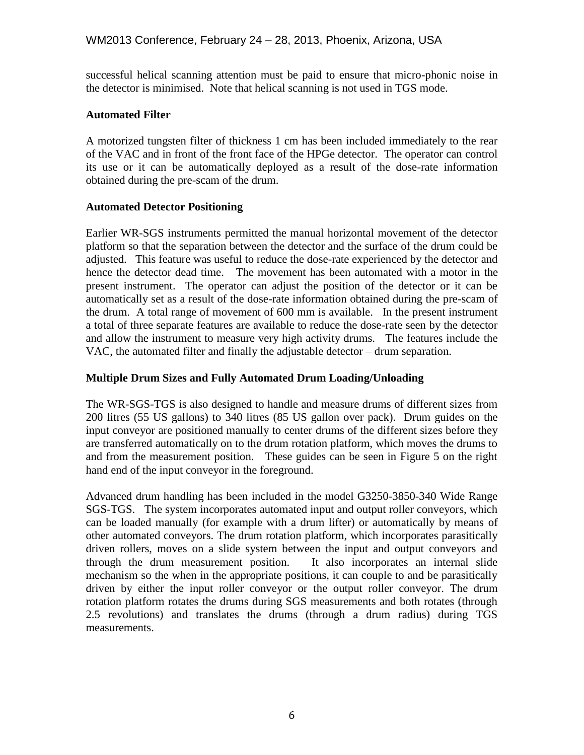successful helical scanning attention must be paid to ensure that micro-phonic noise in the detector is minimised. Note that helical scanning is not used in TGS mode.

### **Automated Filter**

A motorized tungsten filter of thickness 1 cm has been included immediately to the rear of the VAC and in front of the front face of the HPGe detector. The operator can control its use or it can be automatically deployed as a result of the dose-rate information obtained during the pre-scam of the drum.

#### **Automated Detector Positioning**

Earlier WR-SGS instruments permitted the manual horizontal movement of the detector platform so that the separation between the detector and the surface of the drum could be adjusted. This feature was useful to reduce the dose-rate experienced by the detector and hence the detector dead time. The movement has been automated with a motor in the present instrument. The operator can adjust the position of the detector or it can be automatically set as a result of the dose-rate information obtained during the pre-scam of the drum. A total range of movement of 600 mm is available. In the present instrument a total of three separate features are available to reduce the dose-rate seen by the detector and allow the instrument to measure very high activity drums. The features include the VAC, the automated filter and finally the adjustable detector – drum separation.

### **Multiple Drum Sizes and Fully Automated Drum Loading/Unloading**

The WR-SGS-TGS is also designed to handle and measure drums of different sizes from 200 litres (55 US gallons) to 340 litres (85 US gallon over pack). Drum guides on the input conveyor are positioned manually to center drums of the different sizes before they are transferred automatically on to the drum rotation platform, which moves the drums to and from the measurement position. These guides can be seen in Figure 5 on the right hand end of the input conveyor in the foreground.

Advanced drum handling has been included in the model G3250-3850-340 Wide Range SGS-TGS. The system incorporates automated input and output roller conveyors, which can be loaded manually (for example with a drum lifter) or automatically by means of other automated conveyors. The drum rotation platform, which incorporates parasitically driven rollers, moves on a slide system between the input and output conveyors and through the drum measurement position. It also incorporates an internal slide mechanism so the when in the appropriate positions, it can couple to and be parasitically driven by either the input roller conveyor or the output roller conveyor. The drum rotation platform rotates the drums during SGS measurements and both rotates (through 2.5 revolutions) and translates the drums (through a drum radius) during TGS measurements.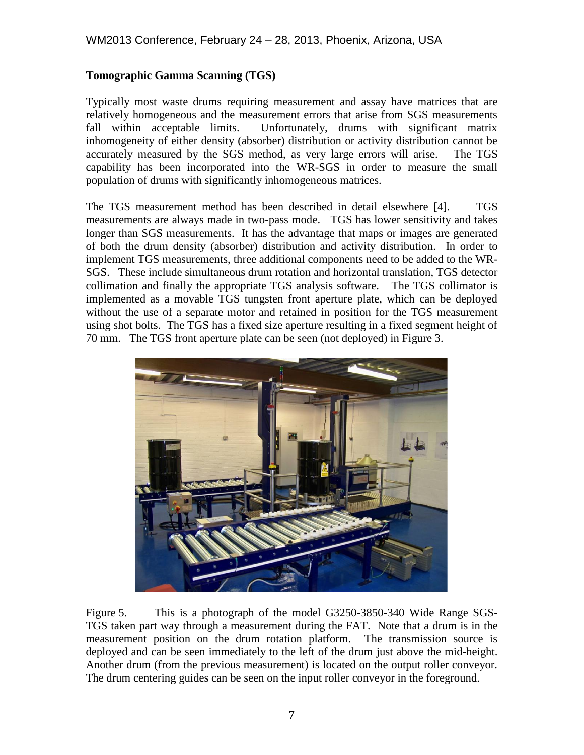# **Tomographic Gamma Scanning (TGS)**

Typically most waste drums requiring measurement and assay have matrices that are relatively homogeneous and the measurement errors that arise from SGS measurements fall within acceptable limits. Unfortunately, drums with significant matrix inhomogeneity of either density (absorber) distribution or activity distribution cannot be accurately measured by the SGS method, as very large errors will arise. The TGS capability has been incorporated into the WR-SGS in order to measure the small population of drums with significantly inhomogeneous matrices.

The TGS measurement method has been described in detail elsewhere [4]. TGS measurements are always made in two-pass mode. TGS has lower sensitivity and takes longer than SGS measurements. It has the advantage that maps or images are generated of both the drum density (absorber) distribution and activity distribution. In order to implement TGS measurements, three additional components need to be added to the WR-SGS. These include simultaneous drum rotation and horizontal translation, TGS detector collimation and finally the appropriate TGS analysis software. The TGS collimator is implemented as a movable TGS tungsten front aperture plate, which can be deployed without the use of a separate motor and retained in position for the TGS measurement using shot bolts. The TGS has a fixed size aperture resulting in a fixed segment height of 70 mm. The TGS front aperture plate can be seen (not deployed) in Figure 3.



Figure 5. This is a photograph of the model G3250-3850-340 Wide Range SGS-TGS taken part way through a measurement during the FAT. Note that a drum is in the measurement position on the drum rotation platform. The transmission source is deployed and can be seen immediately to the left of the drum just above the mid-height. Another drum (from the previous measurement) is located on the output roller conveyor. The drum centering guides can be seen on the input roller conveyor in the foreground.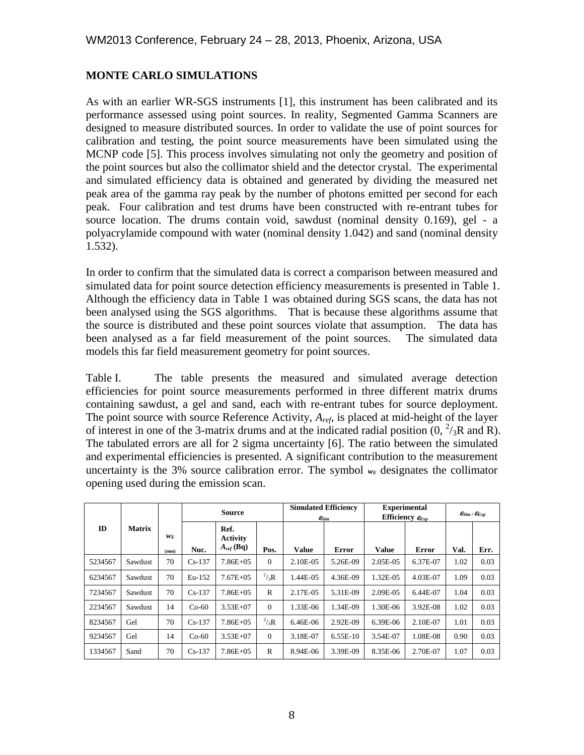# **MONTE CARLO SIMULATIONS**

As with an earlier WR-SGS instruments [1], this instrument has been calibrated and its performance assessed using point sources. In reality, Segmented Gamma Scanners are designed to measure distributed sources. In order to validate the use of point sources for calibration and testing, the point source measurements have been simulated using the MCNP code [5]. This process involves simulating not only the geometry and position of the point sources but also the collimator shield and the detector crystal. The experimental and simulated efficiency data is obtained and generated by dividing the measured net peak area of the gamma ray peak by the number of photons emitted per second for each peak. Four calibration and test drums have been constructed with re-entrant tubes for source location. The drums contain void, sawdust (nominal density 0.169), gel - a polyacrylamide compound with water (nominal density 1.042) and sand (nominal density 1.532).

In order to confirm that the simulated data is correct a comparison between measured and simulated data for point source detection efficiency measurements is presented in Table 1. Although the efficiency data in Table 1 was obtained during SGS scans, the data has not been analysed using the SGS algorithms. That is because these algorithms assume that the source is distributed and these point sources violate that assumption. The data has been analysed as a far field measurement of the point sources. The simulated data models this far field measurement geometry for point sources.

Table I. The table presents the measured and simulated average detection efficiencies for point source measurements performed in three different matrix drums containing sawdust, a gel and sand, each with re-entrant tubes for source deployment. The point source with source Reference Activity, *Aref*, is placed at mid-height of the layer of interest in one of the 3-matrix drums and at the indicated radial position  $(0, \frac{2}{3}R$  and R). The tabulated errors are all for 2 sigma uncertainty [6]. The ratio between the simulated and experimental efficiencies is presented. A significant contribution to the measurement uncertainty is the 3% source calibration error. The symbol  $w_E$  designates the collimator opening used during the emission scan.

|         |               |               | <b>Source</b> |                                           |              |              | <b>Simulated Efficiency</b><br>$\epsilon_{\textit{Sim}}$ | <b>Experimental</b><br>Efficiency $\varepsilon_{Exp}$ |              | $\mathcal{E}_{Sim} / \mathcal{E}_{Exp}$ |      |
|---------|---------------|---------------|---------------|-------------------------------------------|--------------|--------------|----------------------------------------------------------|-------------------------------------------------------|--------------|-----------------------------------------|------|
| ID      | <b>Matrix</b> | $W_F$<br>(mm) | Nuc.          | Ref.<br><b>Activity</b><br>$A_{ref}$ (Bq) | Pos.         | <b>Value</b> | Error                                                    | <b>Value</b>                                          | <b>Error</b> | Val.                                    | Err. |
| 5234567 | Sawdust       | 70            | $Cs-137$      | $7.86E + 05$                              | $\Omega$     | 2.10E-05     | 5.26E-09                                                 | 2.05E-05                                              | 6.37E-07     | 1.02                                    | 0.03 |
| 6234567 | Sawdust       | 70            | Eu-152        | $7.67E + 0.5$                             | $^{2}/_{3}R$ | 1.44E-05     | 4.36E-09                                                 | 1.32E-05                                              | 4.03E-07     | 1.09                                    | 0.03 |
| 7234567 | Sawdust       | 70            | $Cs-137$      | $7.86E + 05$                              | $\mathbb{R}$ | 2.17E-05     | 5.31E-09                                                 | 2.09E-05                                              | 6.44E-07     | 1.04                                    | 0.03 |
| 2234567 | Sawdust       | 14            | $Co-60$       | $3.53E+07$                                | $\Omega$     | 1.33E-06     | 1.34E-09                                                 | 1.30E-06                                              | 3.92E-08     | 1.02                                    | 0.03 |
| 8234567 | Gel           | 70            | $Cs-137$      | $7.86E + 05$                              | $^{2}/_{3}R$ | 6.46E-06     | 2.92E-09                                                 | 6.39E-06                                              | 2.10E-07     | 1.01                                    | 0.03 |
| 9234567 | Gel           | 14            | $Co-60$       | $3.53E+07$                                | $\Omega$     | 3.18E-07     | $6.55E-10$                                               | 3.54E-07                                              | 1.08E-08     | 0.90                                    | 0.03 |
| 1334567 | Sand          | 70            | $Cs-137$      | $7.86E+05$                                | R            | 8.94E-06     | 3.39E-09                                                 | 8.35E-06                                              | 2.70E-07     | 1.07                                    | 0.03 |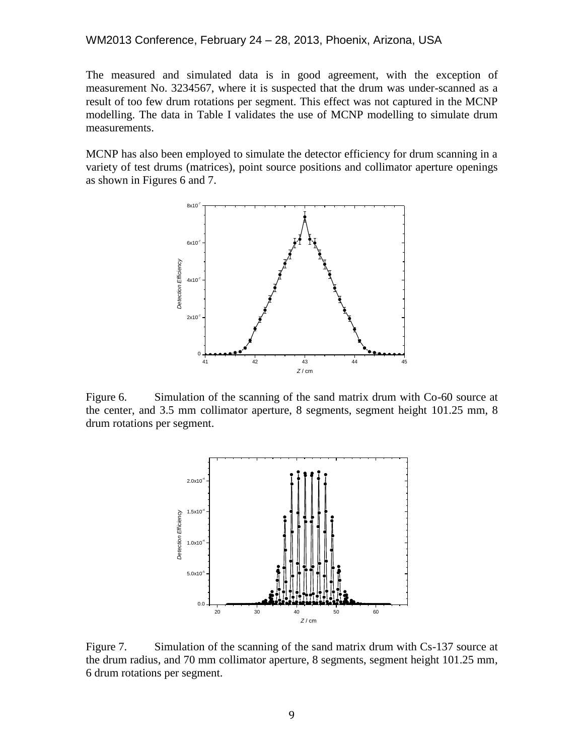#### WM2013 Conference, February 24 – 28, 2013, Phoenix, Arizona, USA

The measured and simulated data is in good agreement, with the exception of measurement No. 3234567, where it is suspected that the drum was under-scanned as a result of too few drum rotations per segment. This effect was not captured in the MCNP modelling. The data in Table I validates the use of MCNP modelling to simulate drum measurements.

MCNP has also been employed to simulate the detector efficiency for drum scanning in a variety of test drums (matrices), point source positions and collimator aperture openings as shown in Figures 6 and 7.



Figure 6. Simulation of the scanning of the sand matrix drum with Co-60 source at the center, and 3.5 mm collimator aperture, 8 segments, segment height 101.25 mm, 8 drum rotations per segment.



Figure 7. Simulation of the scanning of the sand matrix drum with Cs-137 source at the drum radius, and 70 mm collimator aperture, 8 segments, segment height 101.25 mm, 6 drum rotations per segment.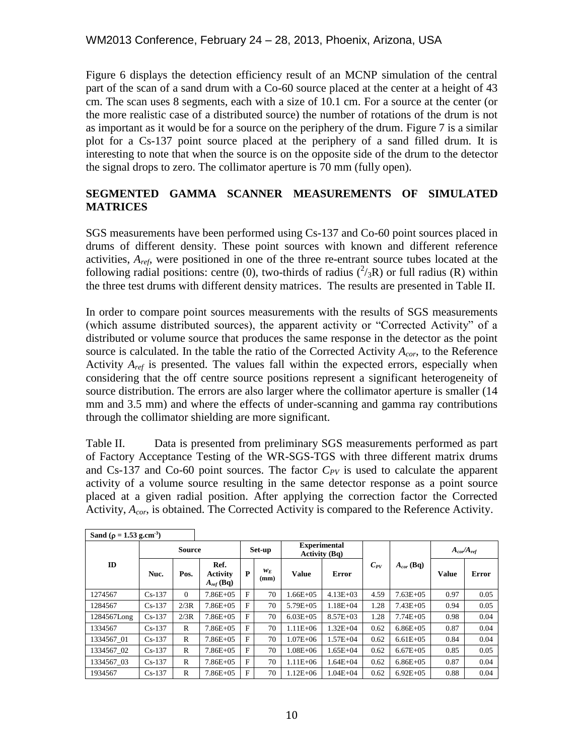Figure 6 displays the detection efficiency result of an MCNP simulation of the central part of the scan of a sand drum with a Co-60 source placed at the center at a height of 43 cm. The scan uses 8 segments, each with a size of 10.1 cm. For a source at the center (or the more realistic case of a distributed source) the number of rotations of the drum is not as important as it would be for a source on the periphery of the drum. Figure 7 is a similar plot for a Cs-137 point source placed at the periphery of a sand filled drum. It is interesting to note that when the source is on the opposite side of the drum to the detector the signal drops to zero. The collimator aperture is 70 mm (fully open).

# **SEGMENTED GAMMA SCANNER MEASUREMENTS OF SIMULATED MATRICES**

SGS measurements have been performed using Cs-137 and Co-60 point sources placed in drums of different density. These point sources with known and different reference activities, *Aref*, were positioned in one of the three re-entrant source tubes located at the following radial positions: centre (0), two-thirds of radius  $({}^2/3R)$  or full radius (R) within the three test drums with different density matrices. The results are presented in Table II.

In order to compare point sources measurements with the results of SGS measurements (which assume distributed sources), the apparent activity or "Corrected Activity" of a distributed or volume source that produces the same response in the detector as the point source is calculated. In the table the ratio of the Corrected Activity *Acor*, to the Reference Activity *Aref* is presented. The values fall within the expected errors, especially when considering that the off centre source positions represent a significant heterogeneity of source distribution. The errors are also larger where the collimator aperture is smaller (14 mm and 3.5 mm) and where the effects of under-scanning and gamma ray contributions through the collimator shielding are more significant.

Table II. Data is presented from preliminary SGS measurements performed as part of Factory Acceptance Testing of the WR-SGS-TGS with three different matrix drums and Cs-137 and Co-60 point sources. The factor  $C_{PV}$  is used to calculate the apparent activity of a volume source resulting in the same detector response as a point source placed at a given radial position. After applying the correction factor the Corrected Activity, *Acor*, is obtained. The Corrected Activity is compared to the Reference Activity.

| Sand ( $\rho = 1.53$ g.cm <sup>-3</sup> ) |               |          |                                           |        |               |                                        |              |          |                |                                 |       |
|-------------------------------------------|---------------|----------|-------------------------------------------|--------|---------------|----------------------------------------|--------------|----------|----------------|---------------------------------|-------|
|                                           | <b>Source</b> |          |                                           | Set-up |               | <b>Experimental</b><br>Activity $(Bq)$ |              |          |                | $A_{\text{cor}}/A_{\text{ref}}$ |       |
| ID                                        | Nuc.          | Pos.     | Ref.<br><b>Activity</b><br>$A_{ref}$ (Bq) | P      | $W_F$<br>(mm) | <b>Value</b>                           | Error        | $C_{PV}$ | $A_{cor}$ (Bq) | <b>Value</b>                    | Error |
| 1274567                                   | $Cs-137$      | $\Omega$ | $7.86E + 0.5$                             | F      | 70            | $1.66E + 05$                           | $4.13E + 03$ | 4.59     | $7.63E + 0.5$  | 0.97                            | 0.05  |
| 1284567                                   | $Cs-137$      | 2/3R     | $7.86E + 0.5$                             | F      | 70            | $5.79E + 0.5$                          | $1.18E + 04$ | 1.28     | $7.43E + 0.5$  | 0.94                            | 0.05  |
| 1284567Long                               | $Cs-137$      | 2/3R     | $7.86E + 0.5$                             | F      | 70            | $6.03E + 0.5$                          | $8.57E + 03$ | 1.28     | $7.74E + 0.5$  | 0.98                            | 0.04  |
| 1334567                                   | $Cs-137$      | R        | $7.86E + 0.5$                             | F      | 70            | $1.11E + 06$                           | $1.32E + 04$ | 0.62     | $6.86E + 0.5$  | 0.87                            | 0.04  |
| 1334567 01                                | $Cs-137$      | R        | $7.86E + 0.5$                             | F      | 70            | $1.07E + 06$                           | $1.57E + 04$ | 0.62     | $6.61E + 0.5$  | 0.84                            | 0.04  |
| 1334567 02                                | $Cs-137$      | R        | $7.86E + 0.5$                             | F      | 70            | $1.08E + 06$                           | $1.65E + 04$ | 0.62     | $6.67E + 0.5$  | 0.85                            | 0.05  |
| 1334567 03                                | $Cs-137$      | R        | $7.86E + 0.5$                             | F      | 70            | $1.11E + 06$                           | $1.64E + 04$ | 0.62     | $6.86E + 0.5$  | 0.87                            | 0.04  |
| 1934567                                   | $Cs-137$      | R        | $7.86E + 0.5$                             | F      | 70            | $1.12E + 06$                           | $1.04E + 04$ | 0.62     | $6.92E + 0.5$  | 0.88                            | 0.04  |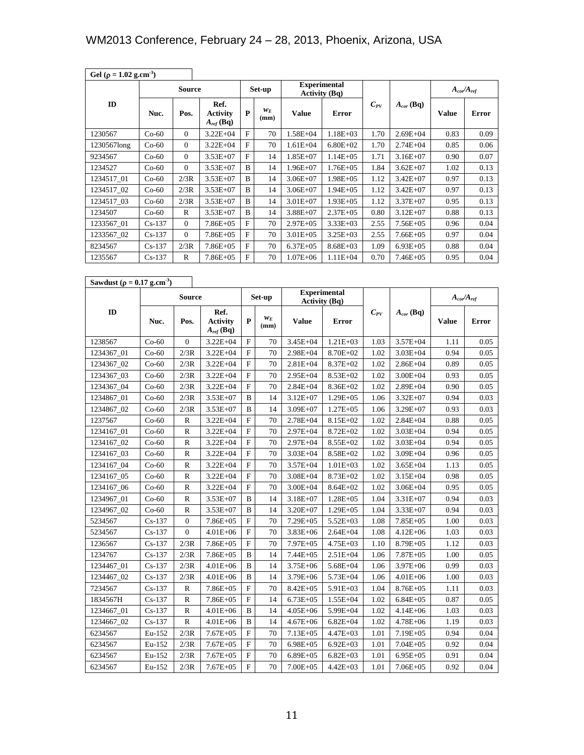| Gel ( $\rho = 1.02$ g.cm <sup>-3</sup> )     |               |                  |                                           |              |               |                                             |                      |          |                |                                 |       |
|----------------------------------------------|---------------|------------------|-------------------------------------------|--------------|---------------|---------------------------------------------|----------------------|----------|----------------|---------------------------------|-------|
|                                              | <b>Source</b> |                  |                                           | Set-up       |               | <b>Experimental</b><br><b>Activity (Bq)</b> |                      |          |                | $A_{\text{cor}}/A_{\text{ref}}$ |       |
| ID                                           | Nuc.          | Pos.             | Ref.<br><b>Activity</b><br>$A_{ref}$ (Bq) | P            | $w_E$<br>(mm) | Value                                       | <b>Error</b>         | $C_{PV}$ | $A_{cor}$ (Bq) | <b>Value</b>                    | Error |
| 1230567                                      | $Co-60$       | $\boldsymbol{0}$ | $3.22E + 04$                              | F            | 70            | $1.58E + 04$                                | $1.18E + 03$         | 1.70     | $2.69E + 04$   | 0.83                            | 0.09  |
| 1230567long                                  | $Co-60$       | $\boldsymbol{0}$ | $3.22E + 04$                              | $\mathbf F$  | 70            | $1.61E + 04$                                | $6.80E + 02$         | 1.70     | $2.74E + 04$   | 0.85                            | 0.06  |
| 9234567                                      | $Co-60$       | $\boldsymbol{0}$ | $3.53E+07$                                | F            | 14            | $1.85E+07$                                  | $1.14E + 05$         | 1.71     | $3.16E + 07$   | 0.90                            | 0.07  |
| 1234527                                      | $Co-60$       | $\overline{0}$   | $3.53E + 07$                              | B            | 14            | $1.96E+07$                                  | $1.76E + 05$         | 1.84     | $3.62E + 07$   | 1.02                            | 0.13  |
| 1234517_01                                   | $Co-60$       | 2/3R             | $3.53E+07$                                | B            | 14            | $3.06E + 07$                                | $1.98E + 05$         | 1.12     | $3.42E + 07$   | 0.97                            | 0.13  |
| 1234517_02                                   | $Co-60$       | 2/3R             | $3.53E + 07$                              | B            | 14            | $3.06E + 07$                                | $1.94E + 05$         | 1.12     | $3.42E + 07$   | 0.97                            | 0.13  |
| 1234517_03                                   | $Co-60$       | 2/3R             | $3.53E+07$                                | B            | 14            | $3.01E + 07$                                | $1.93E + 05$         | 1.12     | $3.37E + 07$   | 0.95                            | 0.13  |
| 1234507                                      | $Co-60$       | R                | $3.53E + 07$                              | B            | 14            | $3.88E + 07$                                | $2.37E + 05$         | 0.80     | $3.12E + 07$   | 0.88                            | 0.13  |
| 1233567_01                                   | $Cs-137$      | $\boldsymbol{0}$ | $7.86E + 05$                              | $\mathbf F$  | 70            | $2.97E + 05$                                | $3.33E + 03$         | 2.55     | $7.56E + 05$   | 0.96                            | 0.04  |
| 1233567_02                                   | $Cs-137$      | $\boldsymbol{0}$ | $7.86E + 05$                              | F            | 70            | $3.01E + 05$                                | $3.25E + 03$         | 2.55     | $7.66E + 05$   | 0.97                            | 0.04  |
| 8234567                                      | $Cs-137$      | 2/3R             | $7.86E + 05$                              | F            | 70            | $6.37E + 05$                                | $8.68E + 03$         | 1.09     | $6.93E + 05$   | 0.88                            | 0.04  |
| 1235567                                      | $Cs-137$      | R                | $7.86E + 05$                              | F            | 70            | $1.07E + 06$                                | $1.11E + 04$         | 0.70     | $7.46E + 05$   | 0.95                            | 0.04  |
| Sawdust ( $\rho = 0.17$ g.cm <sup>-3</sup> ) |               |                  |                                           |              |               |                                             |                      |          |                |                                 |       |
|                                              |               | <b>Source</b>    |                                           |              | Set-up        | <b>Experimental</b>                         |                      |          |                | $A_{\text{cor}}/A_{\text{ref}}$ |       |
| ID                                           |               |                  | Ref.                                      |              |               |                                             | <b>Activity (Bq)</b> | $C_{PV}$ | $A_{cor}$ (Bq) |                                 |       |
|                                              | Nuc.          | Pos.             | <b>Activity</b><br>$A_{ref}$ (Bq)         | P            | $w_E$<br>(mm) | Value                                       | Error                |          |                | <b>Value</b>                    | Error |
| 1238567                                      | $Co-60$       | $\boldsymbol{0}$ | $3.22E + 04$                              | $\mathbf{F}$ | 70            | 3.45E+04                                    | $1.21E + 03$         | 1.03     | $3.57E + 04$   | 1.11                            | 0.05  |
| 1234367_01                                   | $Co-60$       | 2/3R             | $3.22E + 04$                              | F            | 70            | $2.98E + 04$                                | 8.70E+02             | 1.02     | $3.03E + 04$   | 0.94                            | 0.05  |
| 1234367_02                                   | $Co-60$       | 2/3R             | $3.22E + 04$                              | $\mathbf{F}$ | 70            | $2.81E + 04$                                | $8.37E + 02$         | 1.02     | $2.86E + 04$   | 0.89                            | 0.05  |
| 1234367 03                                   | $Co-60$       | 2/3R             | $3.22E + 04$                              | $\mathbf{F}$ | 70            | $2.95E + 04$                                | $8.53E+02$           | 1.02     | $3.00E + 04$   | 0.93                            | 0.05  |
| 1234367_04                                   | $Co-60$       | 2/3R             | $3.22E + 04$                              | $\mathbf F$  | 70            | $2.84E + 04$                                | $8.36E + 02$         | 1.02     | $2.89E + 04$   | 0.90                            | 0.05  |
| 1234867_01                                   | $Co-60$       | 2/3R             | $3.53E+07$                                | B            | 14            | $3.12E + 07$                                | $1.29E + 05$         | 1.06     | $3.32E + 07$   | 0.94                            | 0.03  |
| 1234867_02                                   | $Co-60$       | 2/3R             | $3.53E+07$                                | B            | 14            | $3.09E + 07$                                | $1.27E + 05$         | 1.06     | $3.29E + 07$   | 0.93                            | 0.03  |
| 1237567                                      | $Co-60$       | R                | $3.22E + 04$                              | $\mathbf F$  | 70            | 2.78E+04                                    | $8.15E+02$           | 1.02     | $2.84E + 04$   | 0.88                            | 0.05  |
| 1234167_01                                   | $Co-60$       | R                | $3.22E + 04$                              | $\mathbf{F}$ | 70            | 2.97E+04                                    | $8.72E + 02$         | 1.02     | $3.03E + 04$   | 0.94                            | 0.05  |
| 1234167 02                                   | $Co-60$       | R                | $3.22E + 04$                              | $\mathbf{F}$ | 70            | $2.97E + 04$                                | $8.55E+02$           | 1.02     | $3.03E + 04$   | 0.94                            | 0.05  |
| 1234167_03                                   | $Co-60$       | R                | $3.22E + 04$                              | $\mathbf{F}$ | 70            | $3.03E + 04$                                | $8.58E + 02$         | 1.02     | $3.09E + 04$   | 0.96                            | 0.05  |
| 1234167 04                                   | $Co-60$       | R                | $3.22E + 04$                              | F            | 70            | $3.57E + 04$                                | $1.01E + 03$         | 1.02     | $3.65E + 04$   | 1.13                            | 0.05  |
| 1234167_05                                   | $Co-60$       | R                | $3.22E + 04$                              | F            | 70            | $3.08E + 04$                                | $8.73E+02$           | 1.02     | $3.15E + 04$   | 0.98                            | 0.05  |
| 1234167 06                                   | Co-60         | R                | $3.22E + 04$                              | F            | 70            | $3.00E + 04$                                | $8.64E + 02$         | 1.02     | $3.06E + 04$   | 0.95                            | 0.05  |
| 1234967_01                                   | $Co-60$       | R                | $3.53E+07$                                | B            | 14            | $3.18E + 07$                                | $1.28E + 05$         | 1.04     | 3.31E+07       | 0.94                            | 0.03  |
| 1234967_02                                   | $Co-60$       | R                | $3.53E+07$                                | B            | 14            | 3.20E+07                                    | $1.29E + 05$         | 1.04     | 3.33E+07       | 0.94                            | 0.03  |
| 5234567                                      | $Cs-137$      | $\boldsymbol{0}$ | $7.86E + 05$                              | F            | 70            | $7.29E + 05$                                | $5.52E+03$           | 1.08     | $7.85E + 0.5$  | 1.00                            | 0.03  |
| 5234567                                      | $Cs-137$      | $\boldsymbol{0}$ | $4.01E + 06$                              | F            | 70            | $3.83E + 06$                                | $2.64E + 04$         | 1.08     | $4.12E + 06$   | 1.03                            | 0.03  |
| 1236567                                      | $Cs-137$      | 2/3R             | $7.86E + 05$                              | F            | 70            | 7.97E+05                                    | $4.75E + 03$         | 1.10     | 8.79E+05       | 1.12                            | 0.03  |
| 1234767                                      | $Cs-137$      | 2/3R             | 7.86E+05                                  | B            | 14            | $7.44E + 05$                                | $2.51E + 04$         | 1.06     | $7.87E + 05$   | 1.00                            | 0.05  |
| 1234467_01                                   | $Cs-137$      | 2/3R             | $4.01E + 06$                              | B            | 14            | 3.75E+06                                    | $5.68E + 04$         | 1.06     | $3.97E + 06$   | 0.99                            | 0.03  |
| 1234467_02                                   | $Cs-137$      | 2/3R             | $4.01E + 06$                              | B            | 14            | 3.79E+06                                    | 5.73E+04             | 1.06     | $4.01E + 06$   | 1.00                            | 0.03  |
| 7234567                                      | $Cs-137$      | R                | 7.86E+05                                  | F            | 70            | $8.42E + 05$                                | $5.91E+03$           | 1.04     | 8.76E+05       | 1.11                            | 0.03  |
| 1834567H                                     | $Cs-137$      | R                | 7.86E+05                                  | $\mathbf{F}$ | 14            | $6.73E + 05$                                | $1.55E + 04$         | 1.02     | $6.84E + 05$   | 0.87                            | 0.05  |
| 1234667_01                                   | $Cs-137$      | R                | $4.01E + 06$                              | B            | 14            | $4.05E + 06$                                | 5.99E+04             | 1.02     | $4.14E + 06$   | 1.03                            | 0.03  |
| 1234667_02                                   | $Cs-137$      | R                | $4.01E + 06$                              | B            | 14            | $4.67E + 06$                                | $6.82E + 04$         | 1.02     | $4.78E + 06$   | 1.19                            | 0.03  |
| 6234567                                      | Eu-152        | 2/3R             | $7.67E + 0.5$                             | $\mathbf{F}$ | 70            | $7.13E + 05$                                | $4.47E + 03$         | 1.01     | 7.19E+05       | 0.94                            | 0.04  |
| 6234567                                      | Eu-152        | 2/3R             | $7.67E + 05$                              | F            | 70            | $6.98E + 05$                                | $6.92E + 03$         | 1.01     | $7.04E + 05$   | 0.92                            | 0.04  |
| 6234567                                      | Eu-152        | 2/3R             | $7.67E + 0.5$                             | F            | 70            | $6.89E + 05$                                | $6.82E + 03$         | 1.01     | $6.95E + 0.5$  | 0.91                            | 0.04  |
| 6234567                                      | Eu-152        | 2/3R             | $7.67E + 05$                              | F            | 70            | $7.00E + 05$                                | $4.42E + 03$         | 1.01     | $7.06E + 05$   | 0.92                            | 0.04  |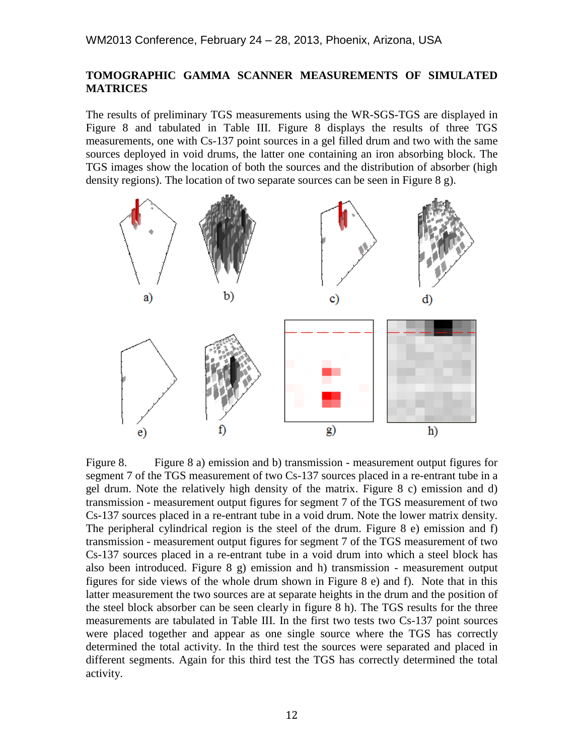# **TOMOGRAPHIC GAMMA SCANNER MEASUREMENTS OF SIMULATED MATRICES**

The results of preliminary TGS measurements using the WR-SGS-TGS are displayed in Figure 8 and tabulated in Table III. Figure 8 displays the results of three TGS measurements, one with Cs-137 point sources in a gel filled drum and two with the same sources deployed in void drums, the latter one containing an iron absorbing block. The TGS images show the location of both the sources and the distribution of absorber (high density regions). The location of two separate sources can be seen in Figure 8 g).



Figure 8. Figure 8 a) emission and b) transmission - measurement output figures for segment 7 of the TGS measurement of two Cs-137 sources placed in a re-entrant tube in a gel drum. Note the relatively high density of the matrix. Figure 8 c) emission and d) transmission - measurement output figures for segment 7 of the TGS measurement of two Cs-137 sources placed in a re-entrant tube in a void drum. Note the lower matrix density. The peripheral cylindrical region is the steel of the drum. Figure 8 e) emission and f) transmission - measurement output figures for segment 7 of the TGS measurement of two Cs-137 sources placed in a re-entrant tube in a void drum into which a steel block has also been introduced. Figure  $8 \text{ g}$  emission and h) transmission - measurement output figures for side views of the whole drum shown in Figure 8 e) and f). Note that in this latter measurement the two sources are at separate heights in the drum and the position of the steel block absorber can be seen clearly in figure 8 h). The TGS results for the three measurements are tabulated in Table III. In the first two tests two Cs-137 point sources were placed together and appear as one single source where the TGS has correctly determined the total activity. In the third test the sources were separated and placed in different segments. Again for this third test the TGS has correctly determined the total activity.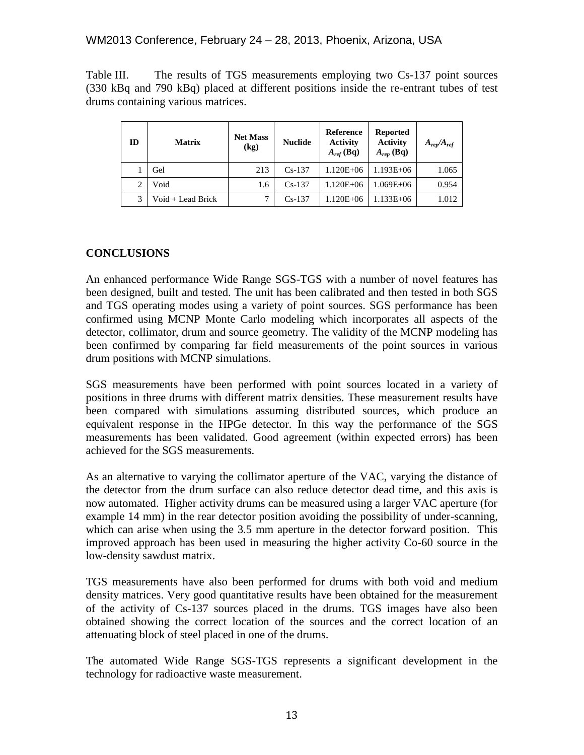# WM2013 Conference, February 24 – 28, 2013, Phoenix, Arizona, USA

Table III. The results of TGS measurements employing two Cs-137 point sources (330 kBq and 790 kBq) placed at different positions inside the re-entrant tubes of test drums containing various matrices.

| ID | <b>Matrix</b>     | <b>Net Mass</b><br>(kg) | <b>Nuclide</b> | Reference<br><b>Activity</b><br>$A_{ref}$ (Bq) | <b>Reported</b><br><b>Activity</b><br>$A_{rep}$ (Bq) | $A_{rep}/A_{ref}$ |  |
|----|-------------------|-------------------------|----------------|------------------------------------------------|------------------------------------------------------|-------------------|--|
|    | Gel               | 213                     | $Cs-137$       | $1.120E + 06$                                  | $1.193E + 06$                                        | 1.065             |  |
| 2  | Void              | 1.6                     | $Cs-137$       | $1.120E + 06$                                  | 1.069E+06                                            | 0.954             |  |
|    | Void + Lead Brick |                         | $Cs-137$       | 1.120E+06                                      | $1.133E + 06$                                        | 1.012             |  |

# **CONCLUSIONS**

An enhanced performance Wide Range SGS-TGS with a number of novel features has been designed, built and tested. The unit has been calibrated and then tested in both SGS and TGS operating modes using a variety of point sources. SGS performance has been confirmed using MCNP Monte Carlo modeling which incorporates all aspects of the detector, collimator, drum and source geometry. The validity of the MCNP modeling has been confirmed by comparing far field measurements of the point sources in various drum positions with MCNP simulations.

SGS measurements have been performed with point sources located in a variety of positions in three drums with different matrix densities. These measurement results have been compared with simulations assuming distributed sources, which produce an equivalent response in the HPGe detector. In this way the performance of the SGS measurements has been validated. Good agreement (within expected errors) has been achieved for the SGS measurements.

As an alternative to varying the collimator aperture of the VAC, varying the distance of the detector from the drum surface can also reduce detector dead time, and this axis is now automated. Higher activity drums can be measured using a larger VAC aperture (for example 14 mm) in the rear detector position avoiding the possibility of under-scanning, which can arise when using the 3.5 mm aperture in the detector forward position. This improved approach has been used in measuring the higher activity Co-60 source in the low-density sawdust matrix.

TGS measurements have also been performed for drums with both void and medium density matrices. Very good quantitative results have been obtained for the measurement of the activity of Cs-137 sources placed in the drums. TGS images have also been obtained showing the correct location of the sources and the correct location of an attenuating block of steel placed in one of the drums.

The automated Wide Range SGS-TGS represents a significant development in the technology for radioactive waste measurement.